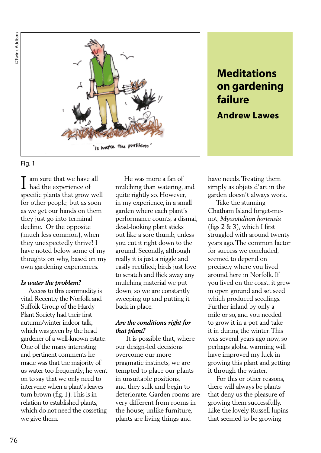



am sure that we have all had the experience of specific plants that grow well for other people, but as soon as we get our hands on them they just go into terminal decline. Or the opposite (much less common), when they unexpectedly thrive! I have noted below some of my thoughts on why, based on my own gardening experiences. I

### *Is water the problem?*

 Access to this commodity is vital. Recently the Norfolk and Suffolk Group of the Hardy Plant Society had their first autumn/winter indoor talk, which was given by the head gardener of a well-known estate. One of the many interesting and pertinent comments he made was that the majority of us water too frequently; he went on to say that we only need to intervene when a plant's leaves turn brown (fig. 1). This is in relation to established plants, which do not need the cosseting we give them.

 He was more a fan of mulching than watering, and quite rightly so. However, in my experience, in a small garden where each plant's performance counts, a dismal, dead-looking plant sticks out like a sore thumb, unless you cut it right down to the ground. Secondly, although really it is just a niggle and easily rectified; birds just love to scratch and flick away any mulching material we put down, so we are constantly sweeping up and putting it back in place.

### *Are the conditions right for that plant?*

 It is possible that, where our design-led decisions overcome our more pragmatic instincts, we are tempted to place our plants in unsuitable positions, and they sulk and begin to deteriorate. Garden rooms are very different from rooms in the house; unlike furniture, plants are living things and

# **Meditations on gardening failure**

# **Andrew Lawes**

have needs. Treating them simply as objets d'art in the garden doesn't always work.

 Take the stunning Chatham Island forget-menot, *Myosotidium hortensia*  (figs 2 & 3), which I first struggled with around twenty years ago. The common factor for success we concluded, seemed to depend on precisely where you lived around here in Norfolk. If you lived on the coast, it grew in open ground and set seed which produced seedlings. Further inland by only a mile or so, and you needed to grow it in a pot and take it in during the winter. This was several years ago now, so perhaps global warming will have improved my luck in growing this plant and getting it through the winter.

 For this or other reasons, there will always be plants that deny us the pleasure of growing them successfully. Like the lovely Russell lupins that seemed to be growing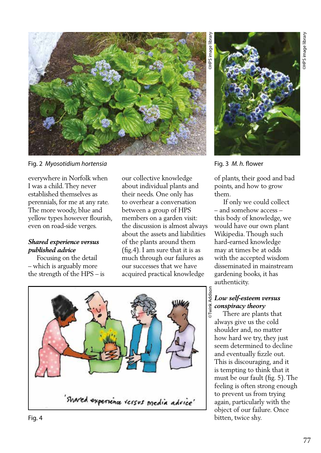

Fig. 2 *Myosotidium hortensia*

everywhere in Norfolk when I was a child. They never established themselves as perennials, for me at any rate. The more woody, blue and yellow types however flourish, even on road-side verges.

#### *Shared experience versus published advice*

 Focusing on the detail – which is arguably more the strength of the HPS – is our collective knowledge about individual plants and their needs. One only has to overhear a conversation between a group of HPS members on a garden visit: the discussion is almost always about the assets and liabilities of the plants around them (fig.4). I am sure that it is as much through our failures as our successes that we have acquired practical knowledge



Fig. 3 *M. h.* flower

of plants, their good and bad points, and how to grow them.

 If only we could collect – and somehow access – this body of knowledge, we would have our own plant Wikipedia. Though such hard-earned knowledge may at times be at odds with the accepted wisdom disseminated in mainstream gardening books, it has authenticity.

## *Low self-esteem versus conspiracy theory*

 There are plants that always give us the cold shoulder and, no matter how hard we try, they just seem determined to decline and eventually fizzle out. This is discouraging, and it is tempting to think that it must be our fault (fig. 5). The feeling is often strong enough to prevent us from trying again, particularly with the object of our failure. Once bitten, twice shy.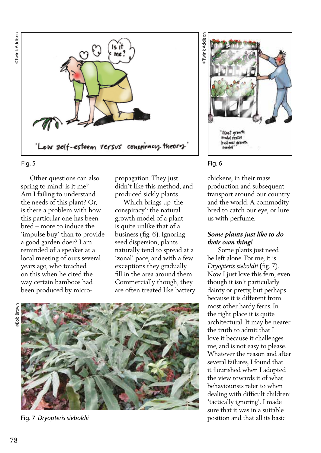

 Other questions can also spring to mind: is it me? Am I failing to understand the needs of this plant? Or, is there a problem with how this particular one has been bred – more to induce the 'impulse buy' than to provide a good garden doer? I am reminded of a speaker at a local meeting of ours several years ago, who touched on this when he cited the way certain bamboos had been produced by micropropagation. They just didn't like this method, and produced sickly plants.

 Which brings up 'the conspiracy': the natural growth model of a plant is quite unlike that of a business (fig. 6). Ignoring seed dispersion, plants naturally tend to spread at a 'zonal' pace, and with a few exceptions they gradually fill in the area around them. Commercially though, they are often treated like battery





#### Fig. 7 *Dryopteris sieboldii*





chickens, in their mass production and subsequent transport around our country and the world. A commodity bred to catch our eye, or lure us with perfume.

### *Some plants just like to do their own thing!*

 Some plants just need be left alone. For me, it is *Dryopteris sieboldii* (fig. 7). Now I just love this fern, even though it isn't particularly dainty or pretty, but perhaps because it is different from most other hardy ferns. In the right place it is quite architectural. It may be nearer the truth to admit that I love it because it challenges me, and is not easy to please. Whatever the reason and after several failures, I found that it flourished when I adopted the view towards it of what behaviourists refer to when dealing with difficult children: 'tactically ignoring'. I made sure that it was in a suitable position and that all its basic